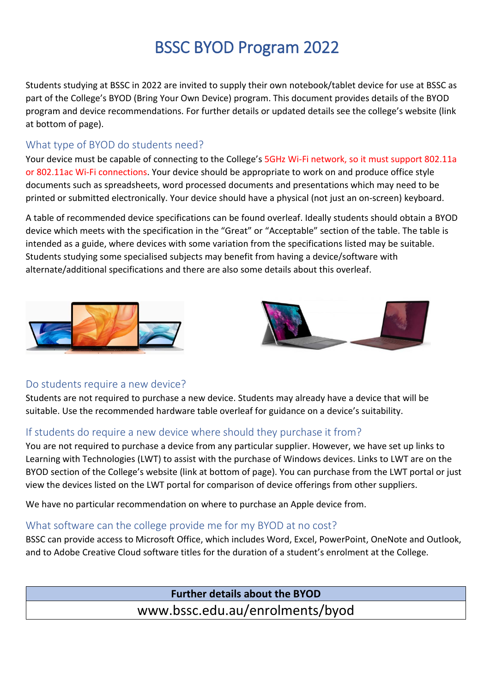# BSSC BYOD Program 2022

Students studying at BSSC in 2022 are invited to supply their own notebook/tablet device for use at BSSC as part of the College's BYOD (Bring Your Own Device) program. This document provides details of the BYOD program and device recommendations. For further details or updated details see the college's website (link at bottom of page).

#### What type of BYOD do students need?

Your device must be capable of connecting to the College's 5GHz Wi-Fi network, so it must support 802.11a or 802.11ac Wi-Fi connections. Your device should be appropriate to work on and produce office style documents such as spreadsheets, word processed documents and presentations which may need to be printed or submitted electronically. Your device should have a physical (not just an on-screen) keyboard.

A table of recommended device specifications can be found overleaf. Ideally students should obtain a BYOD device which meets with the specification in the "Great" or "Acceptable" section of the table. The table is intended as a guide, where devices with some variation from the specifications listed may be suitable. Students studying some specialised subjects may benefit from having a device/software with alternate/additional specifications and there are also some details about this overleaf.





## Do students require a new device?

Students are not required to purchase a new device. Students may already have a device that will be suitable. Use the recommended hardware table overleaf for guidance on a device's suitability.

## If students do require a new device where should they purchase it from?

You are not required to purchase a device from any particular supplier. However, we have set up links to Learning with Technologies (LWT) to assist with the purchase of Windows devices. Links to LWT are on the BYOD section of the College's website (link at bottom of page). You can purchase from the LWT portal or just view the devices listed on the LWT portal for comparison of device offerings from other suppliers.

We have no particular recommendation on where to purchase an Apple device from.

## What software can the college provide me for my BYOD at no cost?

BSSC can provide access to Microsoft Office, which includes Word, Excel, PowerPoint, OneNote and Outlook, and to Adobe Creative Cloud software titles for the duration of a student's enrolment at the College.

> **Further details about the BYOD** www.bssc.edu.au/enrolments/byod